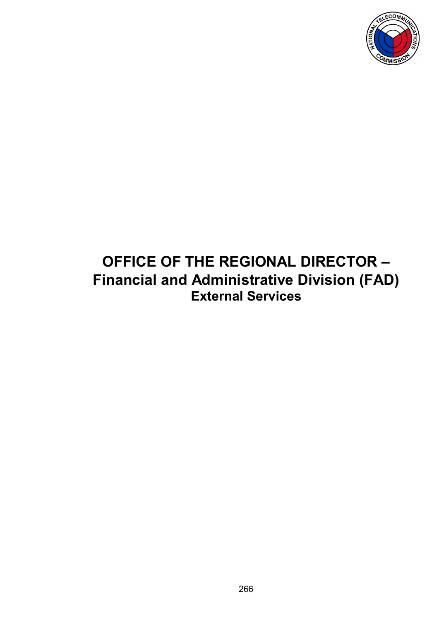

## **OFFICE OF THE REGIONAL DIRECTOR – Financial and Administrative Division (FAD) External Services**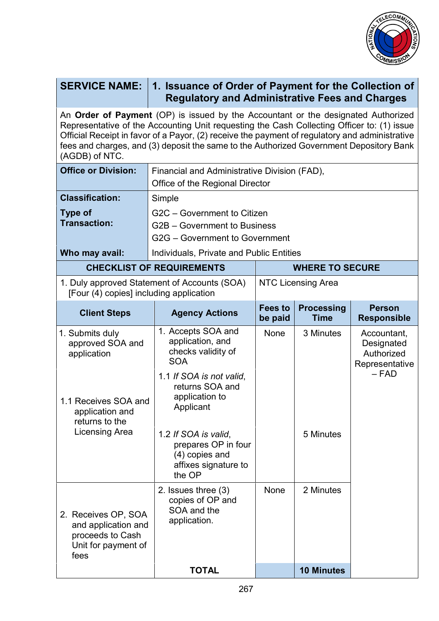

| <b>SERVICE NAME:</b>                                                                                                                                                                                                                                                                                                                                                                           | 1. Issuance of Order of Payment for the Collection of<br><b>Regulatory and Administrative Fees and Charges</b>                                           |                           |                                  |                                                                      |  |  |  |
|------------------------------------------------------------------------------------------------------------------------------------------------------------------------------------------------------------------------------------------------------------------------------------------------------------------------------------------------------------------------------------------------|----------------------------------------------------------------------------------------------------------------------------------------------------------|---------------------------|----------------------------------|----------------------------------------------------------------------|--|--|--|
| An Order of Payment (OP) is issued by the Accountant or the designated Authorized<br>Representative of the Accounting Unit requesting the Cash Collecting Officer to: (1) issue<br>Official Receipt in favor of a Payor, (2) receive the payment of regulatory and administrative<br>fees and charges, and (3) deposit the same to the Authorized Government Depository Bank<br>(AGDB) of NTC. |                                                                                                                                                          |                           |                                  |                                                                      |  |  |  |
| <b>Office or Division:</b>                                                                                                                                                                                                                                                                                                                                                                     | Financial and Administrative Division (FAD),<br>Office of the Regional Director                                                                          |                           |                                  |                                                                      |  |  |  |
| <b>Classification:</b>                                                                                                                                                                                                                                                                                                                                                                         | Simple                                                                                                                                                   |                           |                                  |                                                                      |  |  |  |
| <b>Type of</b><br><b>Transaction:</b>                                                                                                                                                                                                                                                                                                                                                          | G2C - Government to Citizen<br>G2B - Government to Business<br>G2G – Government to Government                                                            |                           |                                  |                                                                      |  |  |  |
| Who may avail:                                                                                                                                                                                                                                                                                                                                                                                 | Individuals, Private and Public Entities                                                                                                                 |                           |                                  |                                                                      |  |  |  |
|                                                                                                                                                                                                                                                                                                                                                                                                | <b>CHECKLIST OF REQUIREMENTS</b>                                                                                                                         | <b>WHERE TO SECURE</b>    |                                  |                                                                      |  |  |  |
|                                                                                                                                                                                                                                                                                                                                                                                                | 1. Duly approved Statement of Accounts (SOA)<br>[Four (4) copies] including application                                                                  |                           | NTC Licensing Area               |                                                                      |  |  |  |
| <b>Client Steps</b>                                                                                                                                                                                                                                                                                                                                                                            | <b>Agency Actions</b>                                                                                                                                    | <b>Fees to</b><br>be paid | <b>Processing</b><br><b>Time</b> | <b>Person</b><br><b>Responsible</b>                                  |  |  |  |
| 1. Submits duly<br>approved SOA and<br>application<br>1.1 Receives SOA and<br>application and<br>returns to the<br>Licensing Area                                                                                                                                                                                                                                                              | 1. Accepts SOA and<br>application, and<br>checks validity of<br><b>SOA</b><br>1.1 If SOA is not valid,<br>returns SOA and<br>application to<br>Applicant | None                      | 3 Minutes                        | Accountant,<br>Designated<br>Authorized<br>Representative<br>$-$ FAD |  |  |  |
|                                                                                                                                                                                                                                                                                                                                                                                                | 1.2 If SOA is valid,<br>prepares OP in four<br>(4) copies and<br>affixes signature to<br>the OP                                                          |                           | 5 Minutes                        |                                                                      |  |  |  |
| 2. Receives OP, SOA<br>and application and<br>proceeds to Cash<br>Unit for payment of<br>fees                                                                                                                                                                                                                                                                                                  | 2. Issues three (3)<br>copies of OP and<br>SOA and the<br>application.                                                                                   | None                      | 2 Minutes                        |                                                                      |  |  |  |
|                                                                                                                                                                                                                                                                                                                                                                                                | <b>TOTAL</b>                                                                                                                                             |                           | <b>10 Minutes</b>                |                                                                      |  |  |  |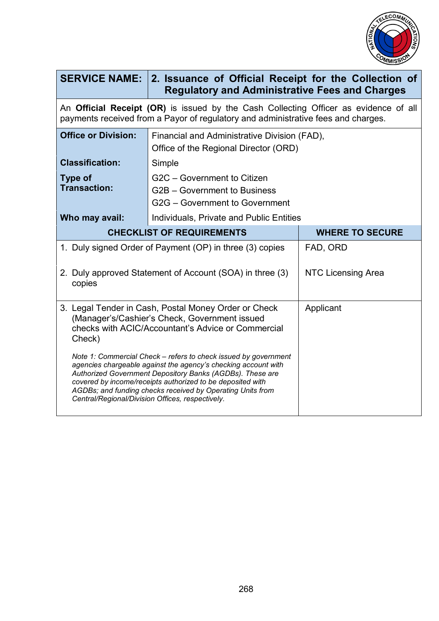

|                                                                                                                                                                                                                                                                                                                                                                                | SERVICE NAME: 2. Issuance of Official Receipt for the Collection of<br><b>Regulatory and Administrative Fees and Charges</b> |                           |  |  |  |
|--------------------------------------------------------------------------------------------------------------------------------------------------------------------------------------------------------------------------------------------------------------------------------------------------------------------------------------------------------------------------------|------------------------------------------------------------------------------------------------------------------------------|---------------------------|--|--|--|
| An <b>Official Receipt (OR)</b> is issued by the Cash Collecting Officer as evidence of all<br>payments received from a Payor of regulatory and administrative fees and charges.                                                                                                                                                                                               |                                                                                                                              |                           |  |  |  |
| <b>Office or Division:</b>                                                                                                                                                                                                                                                                                                                                                     | Financial and Administrative Division (FAD),<br>Office of the Regional Director (ORD)                                        |                           |  |  |  |
| <b>Classification:</b>                                                                                                                                                                                                                                                                                                                                                         | Simple                                                                                                                       |                           |  |  |  |
| Type of<br><b>Transaction:</b>                                                                                                                                                                                                                                                                                                                                                 | G2C - Government to Citizen<br>G2B – Government to Business<br>G2G - Government to Government                                |                           |  |  |  |
| Who may avail:                                                                                                                                                                                                                                                                                                                                                                 | Individuals, Private and Public Entities                                                                                     |                           |  |  |  |
| <b>CHECKLIST OF REQUIREMENTS</b>                                                                                                                                                                                                                                                                                                                                               |                                                                                                                              | <b>WHERE TO SECURE</b>    |  |  |  |
| 1. Duly signed Order of Payment (OP) in three (3) copies                                                                                                                                                                                                                                                                                                                       |                                                                                                                              | FAD, ORD                  |  |  |  |
| 2. Duly approved Statement of Account (SOA) in three (3)<br>copies                                                                                                                                                                                                                                                                                                             |                                                                                                                              | <b>NTC Licensing Area</b> |  |  |  |
| 3. Legal Tender in Cash, Postal Money Order or Check<br>(Manager's/Cashier's Check, Government issued<br>checks with ACIC/Accountant's Advice or Commercial<br>Check)                                                                                                                                                                                                          |                                                                                                                              | Applicant                 |  |  |  |
| Note 1: Commercial Check – refers to check issued by government<br>agencies chargeable against the agency's checking account with<br>Authorized Government Depository Banks (AGDBs). These are<br>covered by income/receipts authorized to be deposited with<br>AGDBs; and funding checks received by Operating Units from<br>Central/Regional/Division Offices, respectively. |                                                                                                                              |                           |  |  |  |